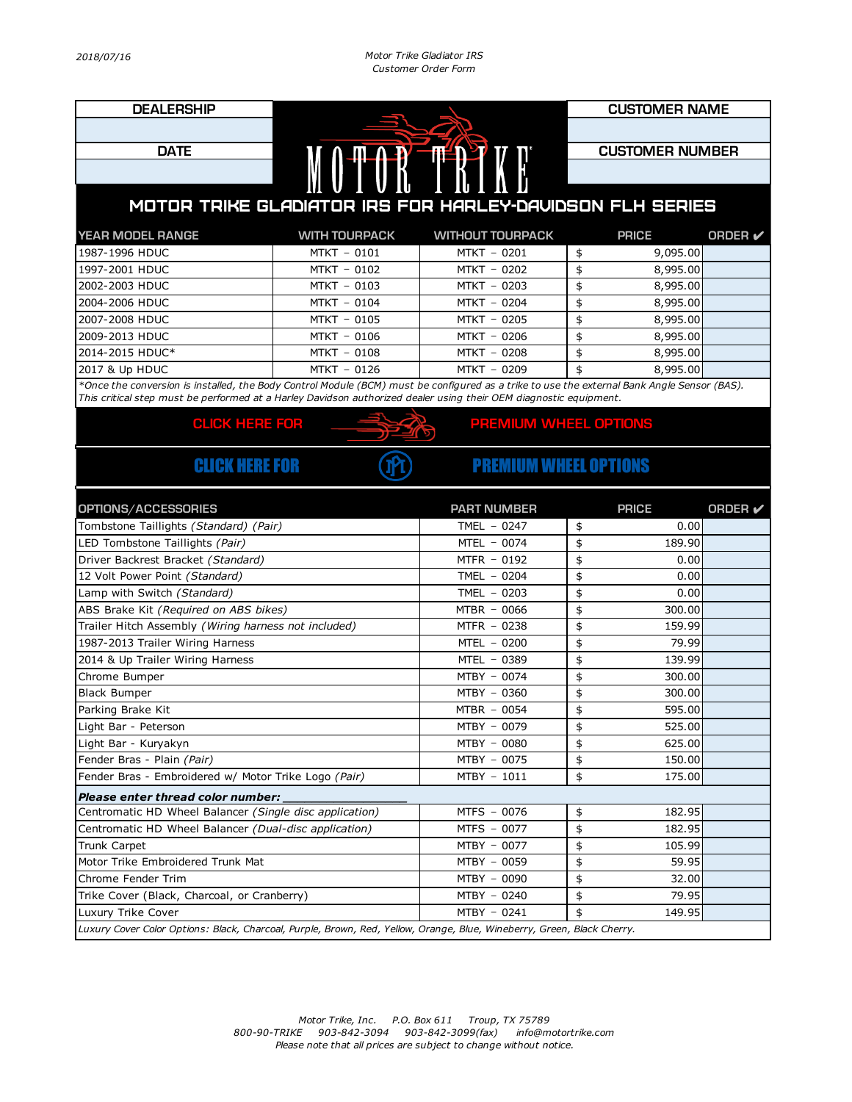| <b>DEALERSHIP</b>                                                                                                                           |                                                      |                              | <b>CUSTOMER NAME</b> |                        |                |  |  |
|---------------------------------------------------------------------------------------------------------------------------------------------|------------------------------------------------------|------------------------------|----------------------|------------------------|----------------|--|--|
|                                                                                                                                             |                                                      |                              |                      |                        |                |  |  |
| <b>DATE</b>                                                                                                                                 |                                                      |                              |                      | <b>CUSTOMER NUMBER</b> |                |  |  |
|                                                                                                                                             | MOTOR TRIVE                                          |                              |                      |                        |                |  |  |
|                                                                                                                                             |                                                      |                              |                      |                        |                |  |  |
| MOTOR TRIKE GLADIATOR IRS FOR HARLEY-DAVIDSON FLH SERIES                                                                                    |                                                      |                              |                      |                        |                |  |  |
| YEAR MODEL RANGE                                                                                                                            | <b>WITH TOURPACK</b>                                 | <b>WITHOUT TOURPACK</b>      |                      | <b>PRICE</b>           | <b>ORDER</b> ✔ |  |  |
| 1987-1996 HDUC                                                                                                                              | MTKT - 0101                                          | MTKT - 0201                  | \$                   | 9,095.00               |                |  |  |
| 1997-2001 HDUC                                                                                                                              | MTKT - 0102                                          | MTKT - 0202                  | \$                   | 8,995.00               |                |  |  |
| 2002-2003 HDUC                                                                                                                              | MTKT - 0103                                          | MTKT - 0203                  | \$                   | 8,995.00               |                |  |  |
| 2004-2006 HDUC                                                                                                                              | MTKT - 0104                                          | MTKT - 0204                  | \$                   | 8,995.00               |                |  |  |
| 2007-2008 HDUC                                                                                                                              | MTKT - 0105                                          | MTKT - 0205                  | \$                   | 8,995.00               |                |  |  |
| 2009-2013 HDUC                                                                                                                              | MTKT - 0106                                          | MTKT - 0206                  | \$                   | 8,995.00               |                |  |  |
| 2014-2015 HDUC*                                                                                                                             | MTKT - 0108                                          | MTKT - 0208                  | \$                   | 8,995.00               |                |  |  |
| 2017 & Up HDUC                                                                                                                              | MTKT - 0126                                          | MTKT - 0209                  | \$                   | 8,995.00               |                |  |  |
| *Once the conversion is installed, the Body Control Module (BCM) must be configured as a trike to use the external Bank Angle Sensor (BAS). |                                                      |                              |                      |                        |                |  |  |
| This critical step must be performed at a Harley Davidson authorized dealer using their OEM diagnostic equipment.                           |                                                      |                              |                      |                        |                |  |  |
| <b>CLICK HERE FOR</b>                                                                                                                       |                                                      | PREMIUM WHEEL OPTIONS        |                      |                        |                |  |  |
|                                                                                                                                             |                                                      |                              |                      |                        |                |  |  |
| <b>CLICK HERE FOR</b>                                                                                                                       |                                                      | <b>PREMIUM WHEEL OPTIONS</b> |                      |                        |                |  |  |
| OPTIONS/ACCESSORIES                                                                                                                         |                                                      | <b>PART NUMBER</b>           |                      | <b>PRICE</b>           | <b>ORDER</b> ✔ |  |  |
| Tombstone Taillights (Standard) (Pair)                                                                                                      |                                                      | TMEL - 0247                  | \$                   | 0.00                   |                |  |  |
| LED Tombstone Taillights (Pair)                                                                                                             |                                                      | MTEL - 0074                  | \$                   | 189.90                 |                |  |  |
| Driver Backrest Bracket (Standard)                                                                                                          |                                                      | MTFR - 0192                  | \$                   | 0.00                   |                |  |  |
| 12 Volt Power Point (Standard)                                                                                                              |                                                      | TMEL $-0204$                 | \$                   | 0.00                   |                |  |  |
| Lamp with Switch (Standard)                                                                                                                 |                                                      | TMEL $-0203$                 | \$                   | 0.00                   |                |  |  |
| ABS Brake Kit (Required on ABS bikes)                                                                                                       |                                                      | MTBR - 0066                  | \$                   | 300.00                 |                |  |  |
| Trailer Hitch Assembly (Wiring harness not included)                                                                                        |                                                      | MTFR - 0238                  | \$                   | 159.99                 |                |  |  |
| 1987-2013 Trailer Wiring Harness                                                                                                            |                                                      | MTEL - 0200                  | \$                   | 79.99                  |                |  |  |
| 2014 & Up Trailer Wiring Harness                                                                                                            |                                                      | MTEL - 0389                  | \$                   | 139.99                 |                |  |  |
| Chrome Bumper                                                                                                                               |                                                      | MTBY - 0074                  | \$                   | 300.00                 |                |  |  |
| <b>Black Bumper</b>                                                                                                                         |                                                      | MTBY - 0360                  | \$                   | 300.00                 |                |  |  |
| Parking Brake Kit                                                                                                                           |                                                      | MTBR - 0054                  | \$                   | 595.00                 |                |  |  |
| Light Bar - Peterson                                                                                                                        |                                                      | MTBY - 0079                  | \$                   | 525.00                 |                |  |  |
| Light Bar - Kuryakyn                                                                                                                        |                                                      | MTBY - 0080                  | \$                   | 625.00                 |                |  |  |
| Fender Bras - Plain (Pair)                                                                                                                  |                                                      |                              | \$                   | 150.00                 |                |  |  |
|                                                                                                                                             | Fender Bras - Embroidered w/ Motor Trike Logo (Pair) |                              |                      |                        |                |  |  |
|                                                                                                                                             |                                                      | MTBY - 0075<br>MTBY - 1011   | \$                   | 175.00                 |                |  |  |
| Please enter thread color number:                                                                                                           |                                                      |                              |                      |                        |                |  |  |
| Centromatic HD Wheel Balancer (Single disc application)                                                                                     |                                                      | MTFS - 0076                  | \$                   | 182.95                 |                |  |  |
| Centromatic HD Wheel Balancer (Dual-disc application)                                                                                       |                                                      | MTFS - 0077                  | \$                   | 182.95                 |                |  |  |
| Trunk Carpet                                                                                                                                |                                                      | MTBY - 0077                  | \$                   | 105.99                 |                |  |  |
| Motor Trike Embroidered Trunk Mat                                                                                                           |                                                      | MTBY - 0059                  | \$                   | 59.95                  |                |  |  |
| Chrome Fender Trim                                                                                                                          |                                                      | MTBY - 0090                  | \$                   | 32.00                  |                |  |  |
| Trike Cover (Black, Charcoal, or Cranberry)                                                                                                 |                                                      | $MTBY - 0240$                | \$                   | 79.95                  |                |  |  |
| Luxury Trike Cover                                                                                                                          |                                                      | MTBY - 0241                  | \$                   | 149.95                 |                |  |  |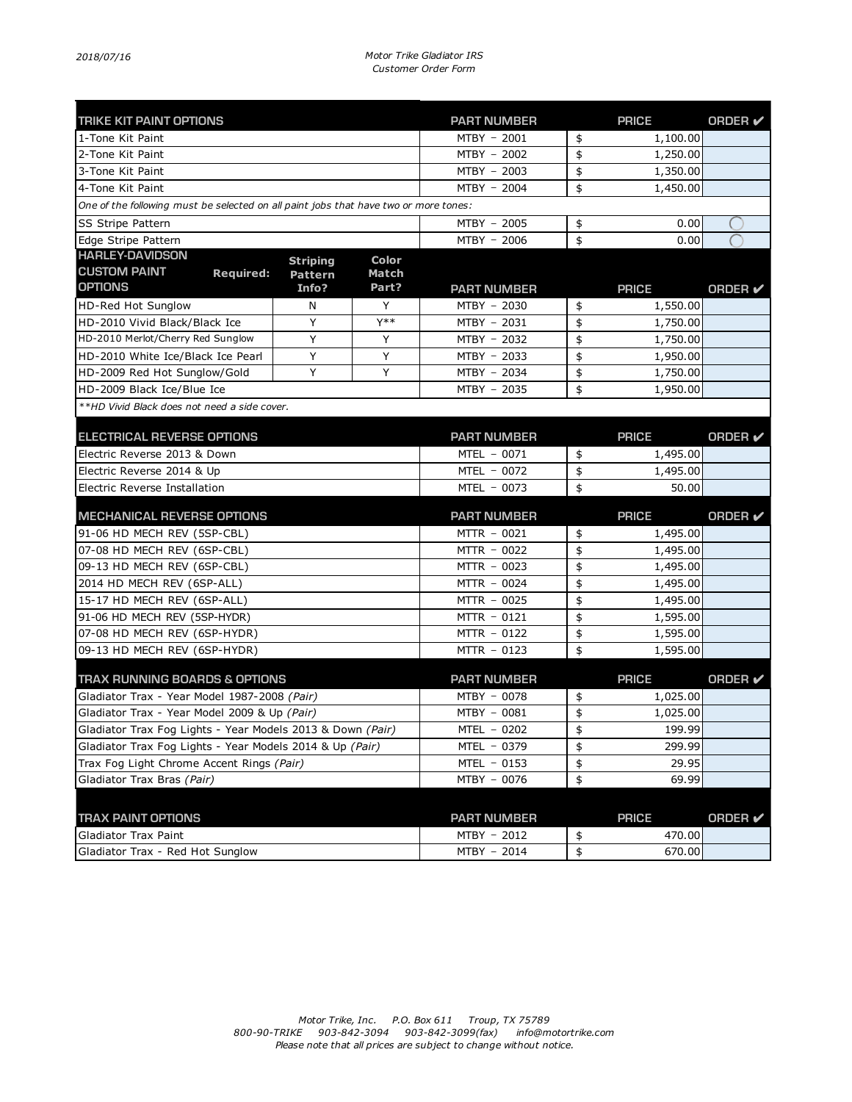| <b>TRIKE KIT PAINT OPTIONS</b>                                                       |                 |                    | <b>PART NUMBER</b> | <b>PRICE</b>   | <b>ORDER</b> ✔ |
|--------------------------------------------------------------------------------------|-----------------|--------------------|--------------------|----------------|----------------|
| 1-Tone Kit Paint                                                                     |                 |                    | MTBY - 2001        | \$<br>1,100.00 |                |
| 2-Tone Kit Paint                                                                     |                 |                    | MTBY - 2002        | \$<br>1,250.00 |                |
| 3-Tone Kit Paint                                                                     |                 |                    | MTBY - 2003        | \$<br>1,350.00 |                |
| 4-Tone Kit Paint                                                                     |                 |                    | MTBY - 2004        | \$<br>1,450.00 |                |
| One of the following must be selected on all paint jobs that have two or more tones: |                 |                    |                    |                |                |
| SS Stripe Pattern                                                                    |                 |                    | MTBY - 2005        | \$<br>0.00     |                |
| Edge Stripe Pattern                                                                  |                 |                    | MTBY - 2006        | \$<br>0.00     |                |
| <b>HARLEY-DAVIDSON</b>                                                               | <b>Striping</b> | <b>Color</b>       |                    |                |                |
| <b>CUSTOM PAINT</b><br><b>Required:</b>                                              | <b>Pattern</b>  | Match              |                    |                |                |
| <b>OPTIONS</b>                                                                       | Info?           | Part?              | <b>PART NUMBER</b> | <b>PRICE</b>   | ORDER V        |
| HD-Red Hot Sunglow                                                                   | N               | Y                  | MTBY - 2030        | \$<br>1,550.00 |                |
| HD-2010 Vivid Black/Black Ice                                                        | Y               | Y**                | MTBY - 2031        | \$<br>1,750.00 |                |
| HD-2010 Merlot/Cherry Red Sunglow                                                    | Υ               | Υ                  | MTBY - 2032        | \$<br>1,750.00 |                |
| HD-2010 White Ice/Black Ice Pearl                                                    | Υ               | Υ                  | MTBY - 2033        | \$<br>1,950.00 |                |
| HD-2009 Red Hot Sunglow/Gold                                                         | Υ               | Y                  | MTBY - 2034        | \$<br>1,750.00 |                |
| HD-2009 Black Ice/Blue Ice                                                           |                 |                    | MTBY - 2035        | \$<br>1,950.00 |                |
| **HD Vivid Black does not need a side cover.                                         |                 |                    |                    |                |                |
| <b>ELECTRICAL REVERSE OPTIONS</b>                                                    |                 |                    | <b>PART NUMBER</b> | <b>PRICE</b>   | <b>ORDER</b> ✔ |
| Electric Reverse 2013 & Down                                                         |                 |                    | MTEL - 0071        | \$<br>1,495.00 |                |
| Electric Reverse 2014 & Up                                                           |                 |                    | MTEL - 0072        | \$<br>1,495.00 |                |
| Electric Reverse Installation                                                        |                 |                    | MTEL - 0073        | \$<br>50.00    |                |
|                                                                                      |                 | <b>PART NUMBER</b> | <b>PRICE</b>       | <b>ORDER</b> ✔ |                |
| <b>MECHANICAL REVERSE OPTIONS</b><br>91-06 HD MECH REV (5SP-CBL)                     |                 |                    | MTTR - 0021        | \$<br>1,495.00 |                |
| 07-08 HD MECH REV (6SP-CBL)                                                          |                 |                    | MTTR - 0022        | \$<br>1,495.00 |                |
| 09-13 HD MECH REV (6SP-CBL)                                                          |                 |                    | MTTR - 0023        | \$<br>1,495.00 |                |
| 2014 HD MECH REV (6SP-ALL)                                                           |                 |                    | MTTR - 0024        | \$<br>1,495.00 |                |
| 15-17 HD MECH REV (6SP-ALL)                                                          |                 |                    | MTTR - 0025        | \$<br>1,495.00 |                |
| 91-06 HD MECH REV (5SP-HYDR)                                                         |                 |                    | MTTR - 0121        | \$<br>1,595.00 |                |
| 07-08 HD MECH REV (6SP-HYDR)                                                         |                 |                    | MTTR - 0122        | \$<br>1,595.00 |                |
| 09-13 HD MECH REV (6SP-HYDR)                                                         |                 |                    | MTTR - 0123        | \$<br>1,595.00 |                |
|                                                                                      |                 |                    |                    |                |                |
| <b>TRAX RUNNING BOARDS &amp; OPTIONS</b>                                             |                 |                    | <b>PART NUMBER</b> | <b>PRICE</b>   | <b>ORDER</b> ✔ |
| Gladiator Trax - Year Model 1987-2008 (Pair)                                         |                 |                    | MTBY - 0078        | \$<br>1,025.00 |                |
| Gladiator Trax - Year Model 2009 & Up (Pair)                                         |                 |                    | MTBY - 0081        | \$<br>1,025.00 |                |
| Gladiator Trax Fog Lights - Year Models 2013 & Down <i>(Pair)</i>                    |                 |                    | MTEL - 0202        | \$<br>199.99   |                |
| Gladiator Trax Fog Lights - Year Models 2014 & Up (Pair)                             |                 |                    | MTEL - 0379        | \$<br>299.99   |                |
| Trax Fog Light Chrome Accent Rings (Pair)                                            |                 |                    | MTEL - 0153        | \$<br>29.95    |                |
| Gladiator Trax Bras (Pair)                                                           |                 |                    | MTBY - 0076        | \$<br>69.99    |                |
|                                                                                      |                 |                    |                    |                |                |
| <b>TRAX PAINT OPTIONS</b>                                                            |                 |                    | <b>PART NUMBER</b> | <b>PRICE</b>   | <b>ORDER</b> ✔ |
| Gladiator Trax Paint                                                                 |                 |                    | MTBY - 2012        | \$<br>470.00   |                |
| Gladiator Trax - Red Hot Sunglow                                                     |                 |                    | MTBY - 2014        | \$<br>670.00   |                |